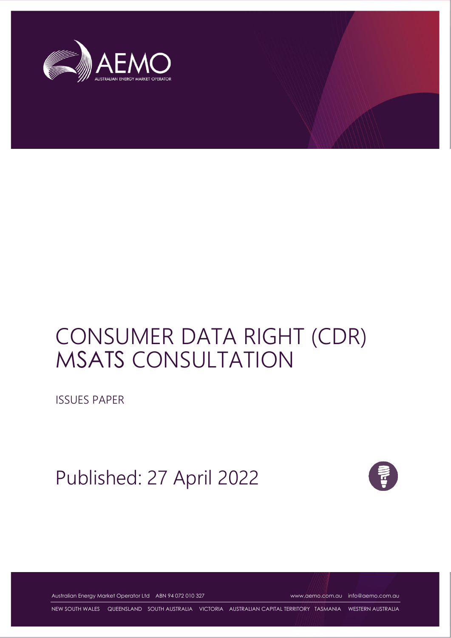

# CONSUMER DATA RIGHT (CDR) MSATS CONSULTATION

ISSUES PAPER

Published: 27 April 2022



Australian Energy Market Operator Ltd ABN 94 072 010 327 [www.aemo.com.au](http://www.aemo.com.au/) [info@aemo.com.au](mailto:info@aemo.com.au)

NEW SOUTH WALES QUEENSLAND SOUTH AUSTRALIA VICTORIA AUSTRALIAN CAPITAL TERRITORY TASMANIA WESTERN AUSTRALIA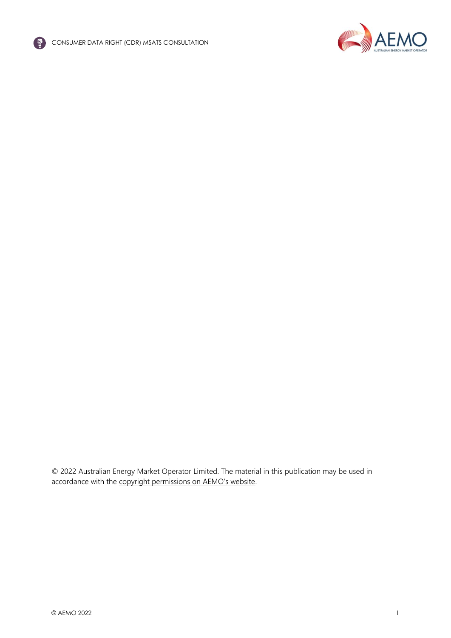



© 2022 Australian Energy Market Operator Limited. The material in this publication may be used in accordance with the [copyright permissions on AEMO's website](http://aemo.com.au/Privacy_and_Legal_Notices/Copyright_Permissions_Notice).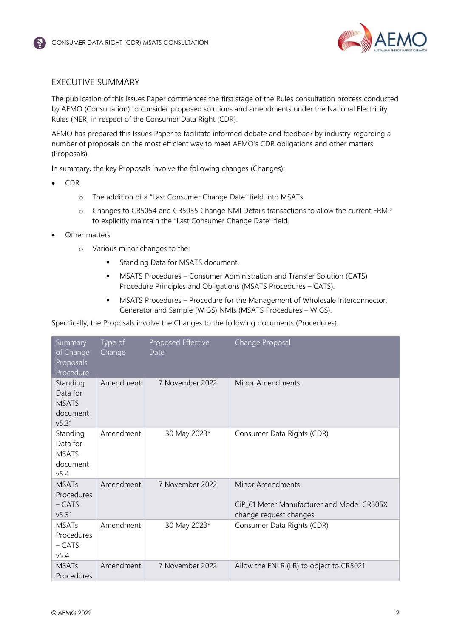

## <span id="page-2-0"></span>EXECUTIVE SUMMARY

The publication of this Issues Paper commences the first stage of the Rules consultation process conducted by AEMO (Consultation) to consider proposed solutions and amendments under the National Electricity Rules (NER) in respect of the Consumer Data Right (CDR).

AEMO has prepared this Issues Paper to facilitate informed debate and feedback by industry regarding a number of proposals on the most efficient way to meet AEMO's CDR obligations and other matters (Proposals).

In summary, the key Proposals involve the following changes (Changes):

- CDR
	- o The addition of a "Last Consumer Change Date" field into MSATs.
	- o Changes to CR5054 and CR5055 Change NMI Details transactions to allow the current FRMP to explicitly maintain the "Last Consumer Change Date" field.
- Other matters
	- o Various minor changes to the:
		- **■** Standing Data for MSATS document.
		- **■** MSATS Procedures Consumer Administration and Transfer Solution (CATS) Procedure Principles and Obligations (MSATS Procedures – CATS).
		- **MSATS Procedures Procedure for the Management of Wholesale Interconnector,** Generator and Sample (WIGS) NMIs (MSATS Procedures – WIGS).

Specifically, the Proposals involve the Changes to the following documents (Procedures).

| Summary<br>of Change<br>Proposals<br>Procedure                       | Type of<br>Change | Proposed Effective<br>Date | Change Proposal                                                                          |
|----------------------------------------------------------------------|-------------------|----------------------------|------------------------------------------------------------------------------------------|
| Standing<br>Data for<br><b>MSATS</b><br>document<br>v5.31            | Amendment         | 7 November 2022            | <b>Minor Amendments</b>                                                                  |
| Standing<br>Data for<br><b>MSATS</b><br>document<br>v <sub>5.4</sub> | Amendment         | 30 May 2023*               | Consumer Data Rights (CDR)                                                               |
| <b>MSATs</b><br>Procedures<br>$-CATS$<br>v5.31                       | Amendment         | 7 November 2022            | Minor Amendments<br>CiP_61 Meter Manufacturer and Model CR305X<br>change request changes |
| <b>MSATs</b><br>Procedures<br>$-$ CATS<br>v5.4                       | Amendment         | 30 May 2023*               | Consumer Data Rights (CDR)                                                               |
| <b>MSATs</b><br>Procedures                                           | Amendment         | 7 November 2022            | Allow the ENLR (LR) to object to CR5021                                                  |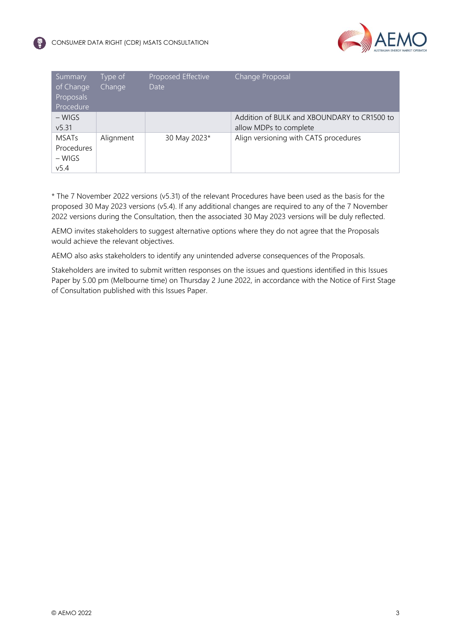

| Summary<br>of Change<br>Proposals<br>Procedure | Type of<br>Change | Proposed Effective<br>Date | Change Proposal                                                       |
|------------------------------------------------|-------------------|----------------------------|-----------------------------------------------------------------------|
| $-WIGS$<br>v5.31                               |                   |                            | Addition of BULK and XBOUNDARY to CR1500 to<br>allow MDPs to complete |
| <b>MSATs</b><br>Procedures<br>– WIGS<br>v5.4   | Alignment         | 30 May 2023*               | Align versioning with CATS procedures                                 |

\* The 7 November 2022 versions (v5.31) of the relevant Procedures have been used as the basis for the proposed 30 May 2023 versions (v5.4). If any additional changes are required to any of the 7 November 2022 versions during the Consultation, then the associated 30 May 2023 versions will be duly reflected.

AEMO invites stakeholders to suggest alternative options where they do not agree that the Proposals would achieve the relevant objectives.

AEMO also asks stakeholders to identify any unintended adverse consequences of the Proposals.

Stakeholders are invited to submit written responses on the issues and questions identified in this Issues Paper by 5.00 pm (Melbourne time) on Thursday 2 June 2022, in accordance with the Notice of First Stage of Consultation published with this Issues Paper.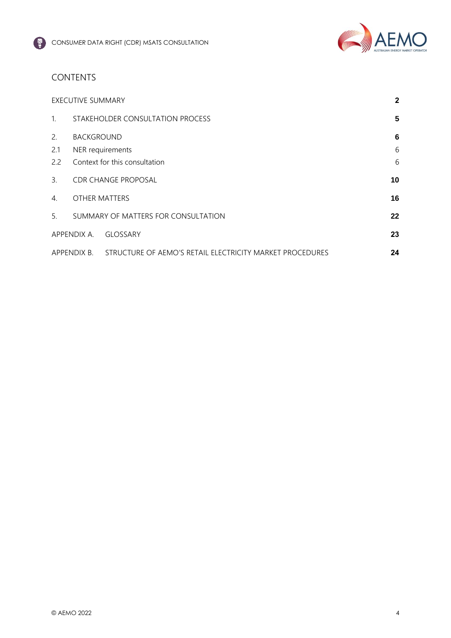

# CONTENTS

|                | <b>EXECUTIVE SUMMARY</b> |                                                          | $\mathbf{2}$ |
|----------------|--------------------------|----------------------------------------------------------|--------------|
| 1 <sub>1</sub> |                          | STAKEHOLDER CONSULTATION PROCESS                         | 5            |
| 2.             | <b>BACKGROUND</b>        |                                                          | 6            |
| 2.1            | NER requirements         |                                                          | 6            |
| 2.2            |                          | Context for this consultation                            | 6            |
| 3.             |                          | <b>CDR CHANGE PROPOSAL</b>                               | 10           |
| 4.             | OTHER MATTERS            |                                                          | 16           |
| 5 <sub>1</sub> |                          | SUMMARY OF MATTERS FOR CONSULTATION                      | 22           |
|                | APPENDIX A.              | <b>GLOSSARY</b>                                          | 23           |
|                | APPENDIX B.              | STRUCTURE OF AEMO'S RETAIL ELECTRICITY MARKET PROCEDURES | 24           |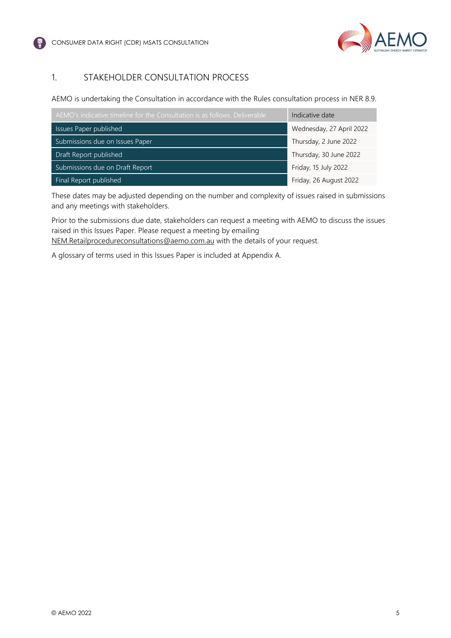

## <span id="page-5-0"></span>1. STAKEHOLDER CONSULTATION PROCESS

AEMO is undertaking the Consultation in accordance with the Rules consultation process in NER 8.9.

| AEMO's indicative timeline for the Consultation is as follows. Deliverable | Indicative date          |
|----------------------------------------------------------------------------|--------------------------|
| Issues Paper published                                                     | Wednesday, 27 April 2022 |
| Submissions due on Issues Paper                                            | Thursday, 2 June 2022    |
| Draft Report published                                                     | Thursday, 30 June 2022   |
| Submissions due on Draft Report                                            | Friday, 15 July 2022     |
| Final Report published                                                     | Friday, 26 August 2022   |

These dates may be adjusted depending on the number and complexity of issues raised in submissions and any meetings with stakeholders.

Prior to the submissions due date, stakeholders can request a meeting with AEMO to discuss the issues raised in this Issues Paper. Please request a meeting by emailing [NEM.Retailprocedureconsultations@aemo.com.au](mailto:NEM.Retailprocedureconsultations@aemo.com.au) with the details of your request.

A glossary of terms used in this Issues Paper is included at Appendix A.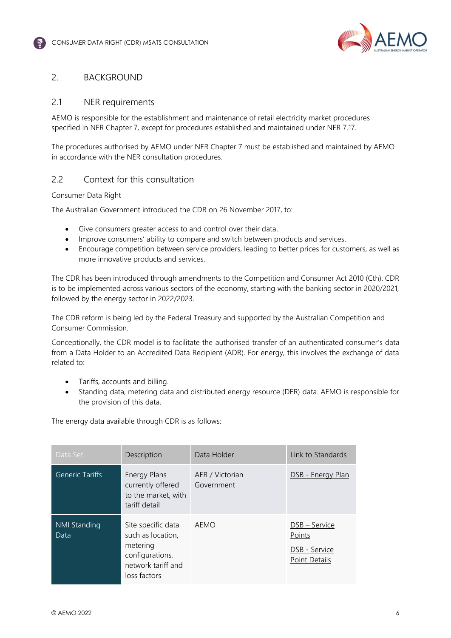

#### <span id="page-6-0"></span>2. BACKGROUND

#### <span id="page-6-1"></span>2.1 NER requirements

AEMO is responsible for the establishment and maintenance of retail electricity market procedures specified in NER Chapter 7, except for procedures established and maintained under NER 7.17.

The procedures authorised by AEMO under NER Chapter 7 must be established and maintained by AEMO in accordance with the NER consultation procedures.

#### <span id="page-6-2"></span>2.2 Context for this consultation

#### Consumer Data Right

The Australian Government introduced the CDR on 26 November 2017, to:

- Give consumers greater access to and control over their data.
- Improve consumers' ability to compare and switch between products and services.
- Encourage competition between service providers, leading to better prices for customers, as well as more innovative products and services.

The CDR has been introduced through amendments to the Competition and Consumer Act 2010 (Cth). CDR is to be implemented across various sectors of the economy, starting with the banking sector in 2020/2021, followed by the energy sector in 2022/2023.

The CDR reform is being led by the Federal Treasury and supported by the Australian Competition and Consumer Commission.

Conceptionally, the CDR model is to facilitate the authorised transfer of an authenticated consumer's data from a Data Holder to an Accredited Data Recipient (ADR). For energy, this involves the exchange of data related to:

- Tariffs, accounts and billing.
- Standing data, metering data and distributed energy resource (DER) data. AEMO is responsible for the provision of this data.

The energy data available through CDR is as follows:

| Data Set                    | Description                                                                                                  | Data Holder                   | Link to Standards                                         |
|-----------------------------|--------------------------------------------------------------------------------------------------------------|-------------------------------|-----------------------------------------------------------|
| <b>Generic Tariffs</b>      | Energy Plans<br>currently offered<br>to the market, with<br>tariff detail                                    | AER / Victorian<br>Government | DSB - Energy Plan                                         |
| <b>NMI Standing</b><br>Data | Site specific data<br>such as location,<br>metering<br>configurations,<br>network tariff and<br>loss factors | AEMO                          | DSB - Service<br>Points<br>DSB - Service<br>Point Details |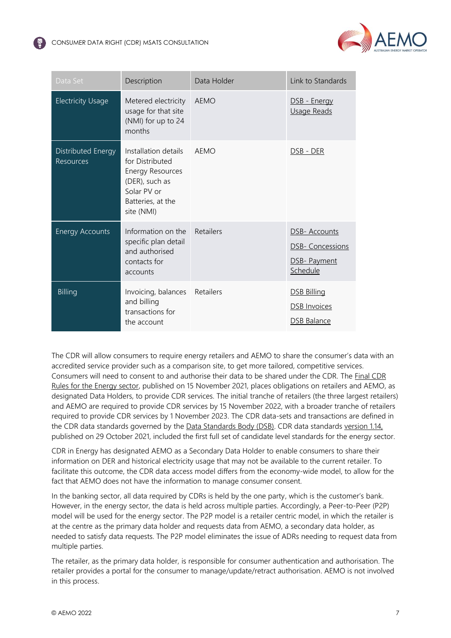

| Data Set                               | Description                                                                                                                            | Data Holder      | Link to Standards                                             |
|----------------------------------------|----------------------------------------------------------------------------------------------------------------------------------------|------------------|---------------------------------------------------------------|
| <b>Electricity Usage</b>               | Metered electricity<br>usage for that site<br>(NMI) for up to 24<br>months                                                             | AEMO             | DSB - Energy<br>Usage Reads                                   |
| Distributed Energy<br><b>Resources</b> | Installation details<br>for Distributed<br><b>Energy Resources</b><br>(DER), such as<br>Solar PV or<br>Batteries, at the<br>site (NMI) | AFMO             | DSB - DER                                                     |
| <b>Energy Accounts</b>                 | Information on the<br>specific plan detail<br>and authorised<br>contacts for<br>accounts                                               | <b>Retailers</b> | DSB- Accounts<br>DSB- Concessions<br>DSB- Payment<br>Schedule |
| <b>Billing</b>                         | Invoicing, balances Retailers<br>and billing<br>transactions for<br>the account                                                        |                  | DSB Billing<br><b>DSB Invoices</b><br><b>DSB Balance</b>      |

The CDR will allow consumers to require energy retailers and AEMO to share the consumer's data with an accredited service provider such as a comparison site, to get more tailored, competitive services. Consumers will need to consent to and authorise their data to be shared under the CDR. The [Final CDR](https://www.legislation.gov.au/Details/F2021L01561)  [Rules for the Energy sector,](https://www.legislation.gov.au/Details/F2021L01561) published on 15 November 2021, places obligations on retailers and AEMO, as designated Data Holders, to provide CDR services. The initial tranche of retailers (the three largest retailers) and AEMO are required to provide CDR services by 15 November 2022, with a broader tranche of retailers required to provide CDR services by 1 November 2023. The CDR data-sets and transactions are defined in the CDR data standards governed by the [Data Standards Body \(DSB\).](https://consumerdatastandards.gov.au/) CDR data standards [version 1.14,](https://consumerdatastandardsaustralia.github.io/standards/#introduction) published on 29 October 2021, included the first full set of candidate level standards for the energy sector.

CDR in Energy has designated AEMO as a Secondary Data Holder to enable consumers to share their information on DER and historical electricity usage that may not be available to the current retailer. To facilitate this outcome, the CDR data access model differs from the economy-wide model, to allow for the fact that AEMO does not have the information to manage consumer consent.

In the banking sector, all data required by CDRs is held by the one party, which is the customer's bank. However, in the energy sector, the data is held across multiple parties. Accordingly, a Peer-to-Peer (P2P) model will be used for the energy sector. The P2P model is a retailer centric model, in which the retailer is at the centre as the primary data holder and requests data from AEMO, a secondary data holder, as needed to satisfy data requests. The P2P model eliminates the issue of ADRs needing to request data from multiple parties.

The retailer, as the primary data holder, is responsible for consumer authentication and authorisation. The retailer provides a portal for the consumer to manage/update/retract authorisation. AEMO is not involved in this process.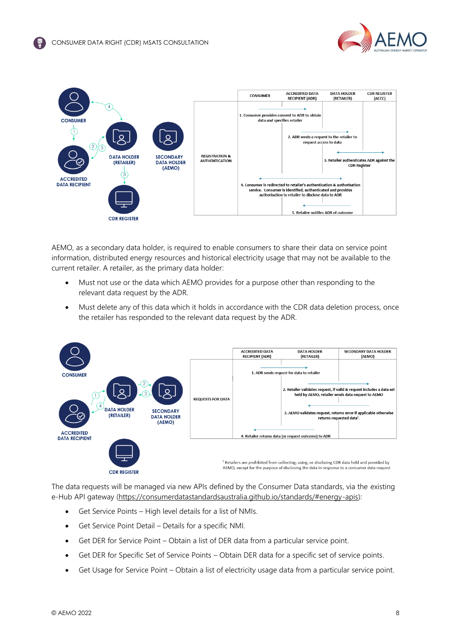



AEMO, as a secondary data holder, is required to enable consumers to share their data on service point information, distributed energy resources and historical electricity usage that may not be available to the current retailer. A retailer, as the primary data holder:

- Must not use or the data which AEMO provides for a purpose other than responding to the relevant data request by the ADR.
- Must delete any of this data which it holds in accordance with the CDR data deletion process, once the retailer has responded to the relevant data request by the ADR.



The data requests will be managed via new APIs defined by the Consumer Data standards, via the existing e-Hub API gateway [\(https://consumerdatastandardsaustralia.github.io/standards/#energy-apis\)](https://consumerdatastandardsaustralia.github.io/standards/):

- Get Service Points High level details for a list of NMIs.
- Get Service Point Detail Details for a specific NMI.
- Get DER for Service Point Obtain a list of DER data from a particular service point.
- Get DER for Specific Set of Service Points Obtain DER data for a specific set of service points.
- Get Usage for Service Point Obtain a list of electricity usage data from a particular service point.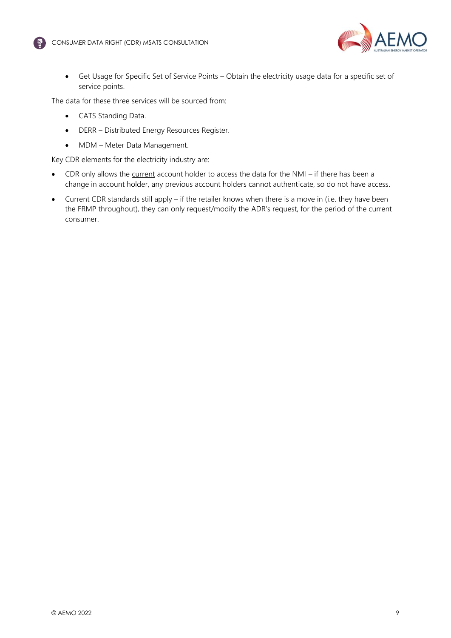

• Get Usage for Specific Set of Service Points – Obtain the electricity usage data for a specific set of service points.

The data for these three services will be sourced from:

- CATS Standing Data.
- DERR Distributed Energy Resources Register.
- MDM Meter Data Management.

Key CDR elements for the electricity industry are:

- CDR only allows the current account holder to access the data for the NMI if there has been a change in account holder, any previous account holders cannot authenticate, so do not have access.
- Current CDR standards still apply if the retailer knows when there is a move in (i.e. they have been the FRMP throughout), they can only request/modify the ADR's request, for the period of the current consumer.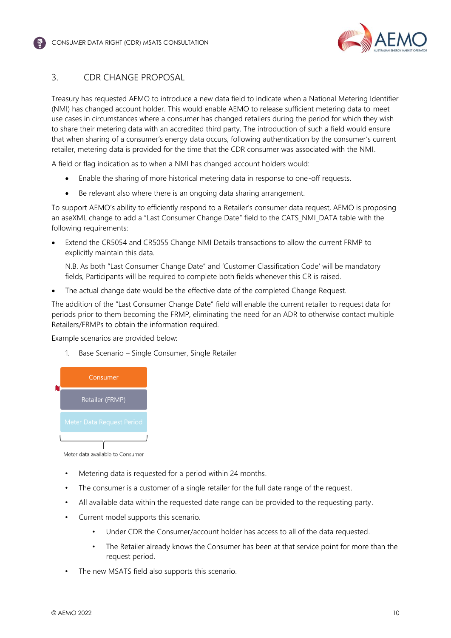

## <span id="page-10-0"></span>3. CDR CHANGE PROPOSAL

Treasury has requested AEMO to introduce a new data field to indicate when a National Metering Identifier (NMI) has changed account holder. This would enable AEMO to release sufficient metering data to meet use cases in circumstances where a consumer has changed retailers during the period for which they wish to share their metering data with an accredited third party. The introduction of such a field would ensure that when sharing of a consumer's energy data occurs, following authentication by the consumer's current retailer, metering data is provided for the time that the CDR consumer was associated with the NMI.

A field or flag indication as to when a NMI has changed account holders would:

- Enable the sharing of more historical metering data in response to one-off requests.
- Be relevant also where there is an ongoing data sharing arrangement.

To support AEMO's ability to efficiently respond to a Retailer's consumer data request, AEMO is proposing an aseXML change to add a "Last Consumer Change Date" field to the CATS\_NMI\_DATA table with the following requirements:

• Extend the CR5054 and CR5055 Change NMI Details transactions to allow the current FRMP to explicitly maintain this data.

N.B. As both "Last Consumer Change Date" and 'Customer Classification Code' will be mandatory fields, Participants will be required to complete both fields whenever this CR is raised.

The actual change date would be the effective date of the completed Change Request.

The addition of the "Last Consumer Change Date" field will enable the current retailer to request data for periods prior to them becoming the FRMP, eliminating the need for an ADR to otherwise contact multiple Retailers/FRMPs to obtain the information required.

Example scenarios are provided below:

1. Base Scenario – Single Consumer, Single Retailer



Meter data available to Consumer

- Metering data is requested for a period within 24 months.
- The consumer is a customer of a single retailer for the full date range of the request.
- All available data within the requested date range can be provided to the requesting party.
- Current model supports this scenario.
	- Under CDR the Consumer/account holder has access to all of the data requested.
	- The Retailer already knows the Consumer has been at that service point for more than the request period.
- The new MSATS field also supports this scenario.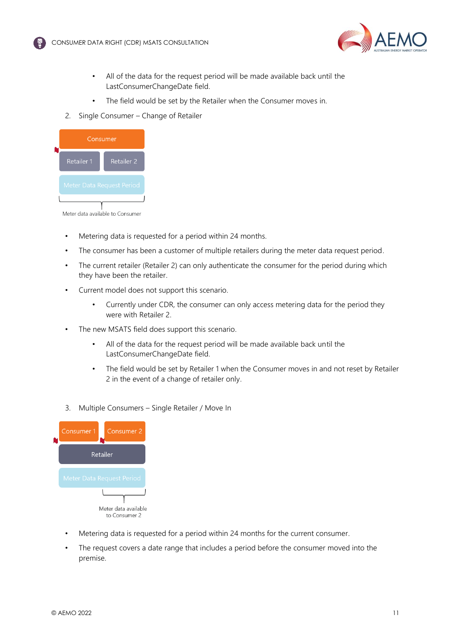



- All of the data for the request period will be made available back until the LastConsumerChangeDate field.
- The field would be set by the Retailer when the Consumer moves in.
- 2. Single Consumer Change of Retailer



Meter data available to Consumer

- Metering data is requested for a period within 24 months.
- The consumer has been a customer of multiple retailers during the meter data request period.
- The current retailer (Retailer 2) can only authenticate the consumer for the period during which they have been the retailer.
- Current model does not support this scenario.
	- Currently under CDR, the consumer can only access metering data for the period they were with Retailer 2.
- The new MSATS field does support this scenario.
	- All of the data for the request period will be made available back until the LastConsumerChangeDate field.
	- The field would be set by Retailer 1 when the Consumer moves in and not reset by Retailer 2 in the event of a change of retailer only.
- 3. Multiple Consumers Single Retailer / Move In



- Metering data is requested for a period within 24 months for the current consumer.
- The request covers a date range that includes a period before the consumer moved into the premise.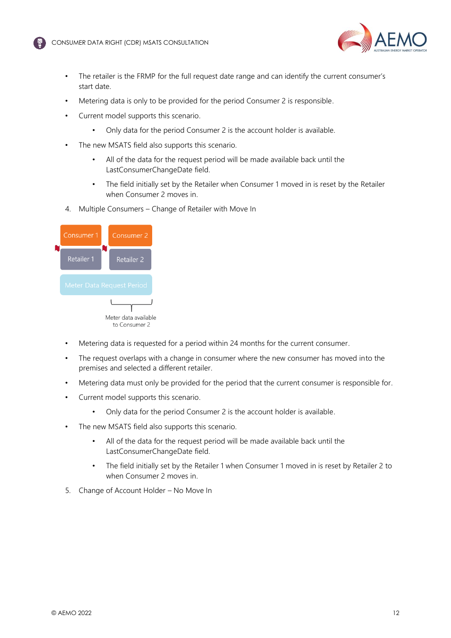

- The retailer is the FRMP for the full request date range and can identify the current consumer's start date.
- Metering data is only to be provided for the period Consumer 2 is responsible.
- Current model supports this scenario.
	- Only data for the period Consumer 2 is the account holder is available.
- The new MSATS field also supports this scenario.
	- All of the data for the request period will be made available back until the LastConsumerChangeDate field.
	- The field initially set by the Retailer when Consumer 1 moved in is reset by the Retailer when Consumer 2 moves in.
- 4. Multiple Consumers Change of Retailer with Move In

| Consumer 1 | Consumer <sub>2</sub>                 |
|------------|---------------------------------------|
| Retailer 1 | Retailer 2                            |
|            | Meter Data Request Period             |
|            |                                       |
|            | Meter data available<br>to Consumer 2 |

- Metering data is requested for a period within 24 months for the current consumer.
- The request overlaps with a change in consumer where the new consumer has moved into the premises and selected a different retailer.
- Metering data must only be provided for the period that the current consumer is responsible for.
- Current model supports this scenario.
	- Only data for the period Consumer 2 is the account holder is available.
- The new MSATS field also supports this scenario.
	- All of the data for the request period will be made available back until the LastConsumerChangeDate field.
	- The field initially set by the Retailer 1 when Consumer 1 moved in is reset by Retailer 2 to when Consumer 2 moves in.
- 5. Change of Account Holder No Move In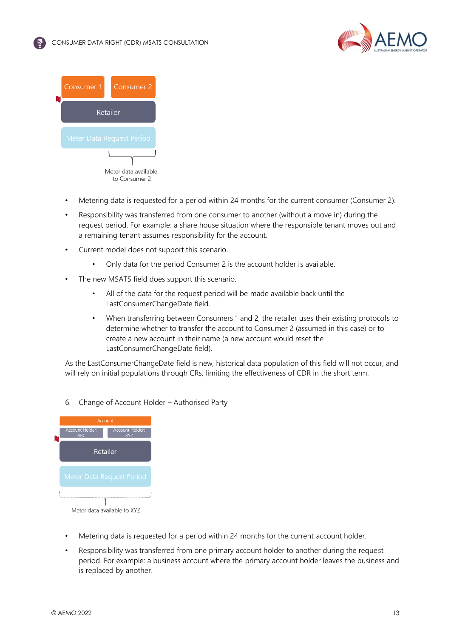



- Metering data is requested for a period within 24 months for the current consumer (Consumer 2).
- Responsibility was transferred from one consumer to another (without a move in) during the request period. For example: a share house situation where the responsible tenant moves out and a remaining tenant assumes responsibility for the account.
- Current model does not support this scenario.
	- Only data for the period Consumer 2 is the account holder is available.
- The new MSATS field does support this scenario.
	- All of the data for the request period will be made available back until the LastConsumerChangeDate field.
	- When transferring between Consumers 1 and 2, the retailer uses their existing protocols to determine whether to transfer the account to Consumer 2 (assumed in this case) or to create a new account in their name (a new account would reset the LastConsumerChangeDate field).

As the LastConsumerChangeDate field is new, historical data population of this field will not occur, and will rely on initial populations through CRs, limiting the effectiveness of CDR in the short term.

6. Change of Account Holder – Authorised Party



- Metering data is requested for a period within 24 months for the current account holder.
- Responsibility was transferred from one primary account holder to another during the request period. For example: a business account where the primary account holder leaves the business and is replaced by another.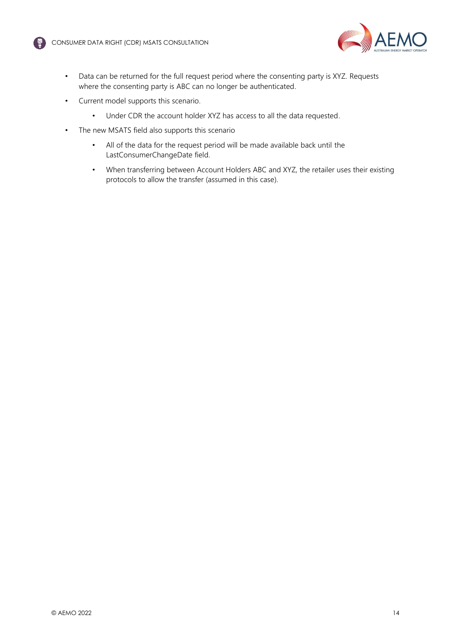



- Data can be returned for the full request period where the consenting party is XYZ. Requests where the consenting party is ABC can no longer be authenticated.
- Current model supports this scenario.
	- Under CDR the account holder XYZ has access to all the data requested.
- The new MSATS field also supports this scenario
	- All of the data for the request period will be made available back until the LastConsumerChangeDate field.
	- When transferring between Account Holders ABC and XYZ, the retailer uses their existing protocols to allow the transfer (assumed in this case).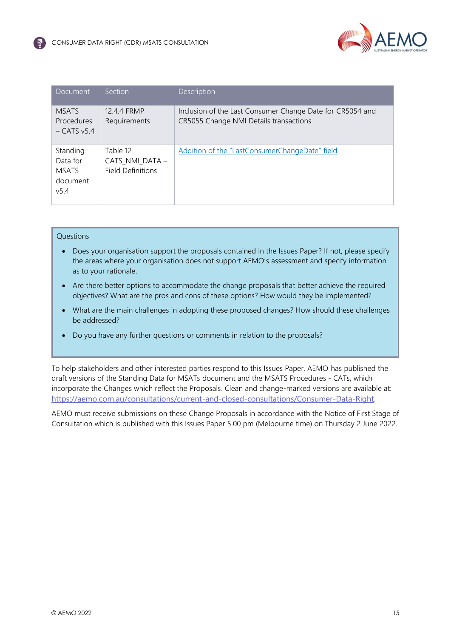

| Document                                                 | <b>Section</b>                                          | Description                                                                                         |
|----------------------------------------------------------|---------------------------------------------------------|-----------------------------------------------------------------------------------------------------|
| <b>MSATS</b><br>Procedures<br>$-CATS v5.4$               | 12.4.4 FRMP<br>Requirements                             | Inclusion of the Last Consumer Change Date for CR5054 and<br>CR5055 Change NMI Details transactions |
| Standing<br>Data for<br><b>MSATS</b><br>document<br>v5.4 | Table 12<br>CATS_NMI_DATA -<br><b>Field Definitions</b> | Addition of the "LastConsumerChangeDate" field                                                      |

#### **Ouestions**

- Does your organisation support the proposals contained in the Issues Paper? If not, please specify the areas where your organisation does not support AEMO's assessment and specify information as to your rationale.
- Are there better options to accommodate the change proposals that better achieve the required objectives? What are the pros and cons of these options? How would they be implemented?
- What are the main challenges in adopting these proposed changes? How should these challenges be addressed?
- Do you have any further questions or comments in relation to the proposals?

To help stakeholders and other interested parties respond to this Issues Paper, AEMO has published the draft versions of the Standing Data for MSATs document and the MSATS Procedures - CATs, which incorporate the Changes which reflect the Proposals. Clean and change-marked versions are available at: <https://aemo.com.au/consultations/current-and-closed-consultations/Consumer-Data-Right>.

AEMO must receive submissions on these Change Proposals in accordance with the Notice of First Stage of Consultation which is published with this Issues Paper 5.00 pm (Melbourne time) on Thursday 2 June 2022.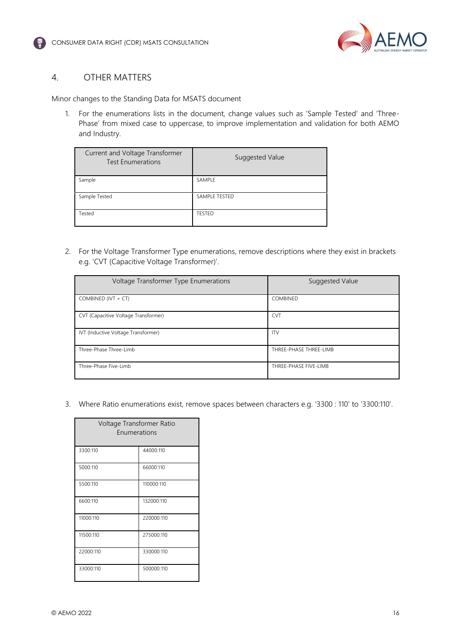

#### <span id="page-16-0"></span>4. OTHER MATTERS

Minor changes to the Standing Data for MSATS document

1. For the enumerations lists in the document, change values such as 'Sample Tested' and 'Three-Phase' from mixed case to uppercase, to improve implementation and validation for both AEMO and Industry.

| Current and Voltage Transformer<br><b>Test Enumerations</b> | Suggested Value |
|-------------------------------------------------------------|-----------------|
| Sample                                                      | SAMPLE          |
| Sample Tested                                               | SAMPLE TESTED   |
| Tested                                                      | <b>TESTED</b>   |

2. For the Voltage Transformer Type enumerations, remove descriptions where they exist in brackets e.g. 'CVT (Capacitive Voltage Transformer)'.

| Voltage Transformer Type Enumerations | Suggested Value        |
|---------------------------------------|------------------------|
| COMBINED (IVT + $CT$ )                | COMBINED               |
| CVT (Capacitive Voltage Transformer)  | <b>CVT</b>             |
| IVT (Inductive Voltage Transformer)   | <b>ITV</b>             |
| Three-Phase Three-Limb                | THREE-PHASE THREE-LIMB |
| Three-Phase Five-Limb                 | THREE-PHASE FIVE-LIMB  |

3. Where Ratio enumerations exist, remove spaces between characters e.g. '3300 : 110' to '3300:110'.

| Voltage Transformer Ratio<br>Enumerations |            |  |  |
|-------------------------------------------|------------|--|--|
| 3300:110                                  | 44000:110  |  |  |
| 5000:110                                  | 66000:110  |  |  |
| 5500:110                                  | 110000:110 |  |  |
| 6600:110                                  | 132000:110 |  |  |
| 11000:110                                 | 220000:110 |  |  |
| 11500:110                                 | 275000:110 |  |  |
| 22000:110                                 | 330000:110 |  |  |
| 33000:110                                 | 500000:110 |  |  |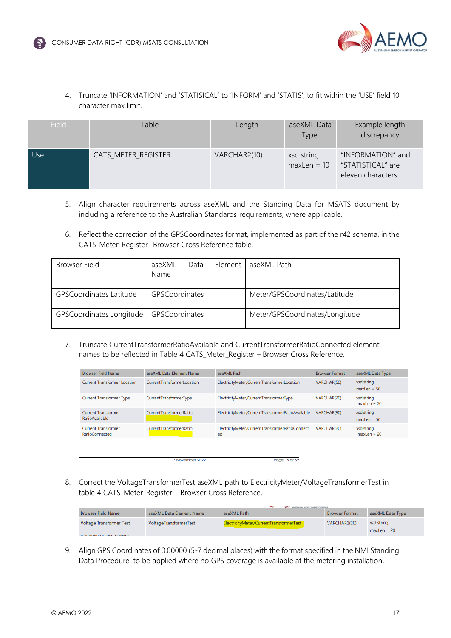

4. Truncate 'INFORMATION' and 'STATISICAL' to 'INFORM' and 'STATIS', to fit within the 'USE' field 10 character max limit.

| Field | Table <sup>®</sup>  | Length       | aseXML Data<br><b>Type</b>  | Example length<br>discrepancy                                |
|-------|---------------------|--------------|-----------------------------|--------------------------------------------------------------|
| Use   | CATS_METER_REGISTER | VARCHAR2(10) | xsd:string<br>$maxLen = 10$ | "INFORMATION" and<br>"STATISTICAL" are<br>eleven characters. |

- 5. Align character requirements across aseXML and the Standing Data for MSATS document by including a reference to the Australian Standards requirements, where applicable.
- 6. Reflect the correction of the GPSCoordinates format, implemented as part of the r42 schema, in the CATS Meter Register- Browser Cross Reference table.

| Browser Field                  | aseXML<br>Data<br>Name | Element | aseXML Path                    |
|--------------------------------|------------------------|---------|--------------------------------|
| <b>GPSCoordinates Latitude</b> | GPSCoordinates         |         | Meter/GPSCoordinates/Latitude  |
| GPSCoordinates Longitude       | GPSCoordinates         |         | Meter/GPSCoordinates/Longitude |

7. Truncate CurrentTransformerRatioAvailable and CurrentTransformerRatioConnected element names to be reflected in Table 4 CATS\_Meter\_Register – Browser Cross Reference.

| <b>Browser Field Name</b>                           | aseXML Data Element Name   | aseXML Path                                           | <b>Browser Format</b> | aseXML Data Type            |
|-----------------------------------------------------|----------------------------|-------------------------------------------------------|-----------------------|-----------------------------|
| <b>Current Transformer Location</b>                 | CurrentTransformerLocation | ElectricityMeter/CurrentTransformerLocation           | VARCHAR(50)           | xsd:string<br>$maxLen = 50$ |
| <b>Current Transformer Type</b>                     | CurrentTransformerType     | ElectricityMeter/CurrentTransformerType               | VARCHAR(20)           | xsd:string<br>$maxLen = 20$ |
| <b>Current Transformer</b><br><b>RatioAvailable</b> | CurrentTransformerRatio    | ElectricityMeter/CurrentTransformerRatioAvailable     | VARCHAR(50)           | xsd:string<br>$maxLen = 50$ |
| <b>Current Transformer</b><br><b>RatioConnected</b> | CurrentTransformerRatio    | ElectricityMeter/CurrentTransformerRatioConnect<br>ed | VARCHAR(20)           | xsd:string<br>$maxLen = 20$ |
|                                                     |                            |                                                       |                       |                             |
|                                                     | 7 November 2022            | Page 15 of 69                                         |                       |                             |

8. Correct the VoltageTransformerTest aseXML path to ElectricityMeter/VoltageTransformerTest in table 4 CATS\_Meter\_Register – Browser Cross Reference.

|                                                                 |                          | <b>WAY AUSTRALIAN ENERGY MARKET CIPERATOR</b> |                       |                             |
|-----------------------------------------------------------------|--------------------------|-----------------------------------------------|-----------------------|-----------------------------|
| <b>Browser Field Name</b>                                       | aseXML Data Element Name | aseXML Path                                   | <b>Browser Format</b> | aseXML Data Type            |
| <b>Voltage Transformer Test</b>                                 | VoltageTransformerTest   | ElectricityMeter/CurrentTransformerTest       | VARCHAR2(20)          | xsd:string<br>$maxLen = 20$ |
| <b>THE CONTRACT WAS SERVED AND A STATE OF A PARTICULAR OF A</b> |                          |                                               |                       |                             |

9. Align GPS Coordinates of 0.00000 (5-7 decimal places) with the format specified in the NMI Standing Data Procedure, to be applied where no GPS coverage is available at the metering installation.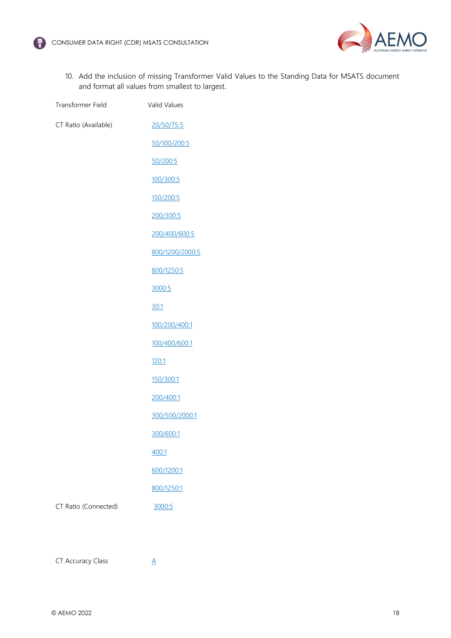



10. Add the inclusion of missing Transformer Valid Values to the Standing Data for MSATS document and format all values from smallest to largest.

| Transformer Field    | <b>Valid Values</b> |
|----------------------|---------------------|
| CT Ratio (Available) | 20/50/75:5          |
|                      | 50/100/200:5        |
|                      | 50/200:5            |
|                      | 100/300:5           |
|                      | 150/200:5           |
|                      | 200/300:5           |
|                      | 200/400/600:5       |
|                      | 800/1200/2000:5     |
|                      | 800/1250:5          |
|                      | 3000:5              |
|                      | 30:1                |
|                      | 100/200/400:1       |
|                      | 100/400/600:1       |
|                      | 120:1               |
|                      | 150/300:1           |
|                      | 200/400:1           |
|                      | 300/500/2000:1      |
|                      | 300/600:1           |
|                      | 400:1               |
|                      | 600/1200:1          |
|                      | 800/1250:1          |
| CT Ratio (Connected) | 3000:5              |
|                      |                     |

CT Accuracy Class  $\underline{A}$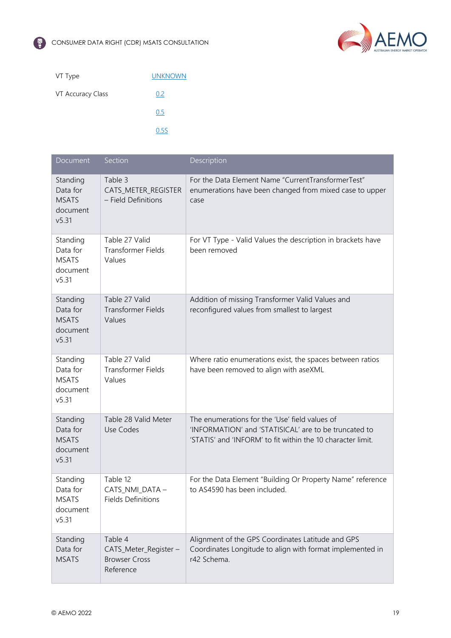

| VT Type           | <b>UNKNOWN</b> |
|-------------------|----------------|
| VT Accuracy Class | 0.2            |
|                   | 0.5            |
|                   | 0.5S           |

| Document                                                  | Section                                                               | Description                                                                                                                                                            |
|-----------------------------------------------------------|-----------------------------------------------------------------------|------------------------------------------------------------------------------------------------------------------------------------------------------------------------|
| Standing<br>Data for<br><b>MSATS</b><br>document<br>v5.31 | Table 3<br>CATS_METER_REGISTER<br>- Field Definitions                 | For the Data Element Name "CurrentTransformerTest"<br>enumerations have been changed from mixed case to upper<br>case                                                  |
| Standing<br>Data for<br><b>MSATS</b><br>document<br>v5.31 | Table 27 Valid<br><b>Transformer Fields</b><br>Values                 | For VT Type - Valid Values the description in brackets have<br>been removed                                                                                            |
| Standing<br>Data for<br><b>MSATS</b><br>document<br>v5.31 | Table 27 Valid<br><b>Transformer Fields</b><br>Values                 | Addition of missing Transformer Valid Values and<br>reconfigured values from smallest to largest                                                                       |
| Standing<br>Data for<br><b>MSATS</b><br>document<br>v5.31 | Table 27 Valid<br><b>Transformer Fields</b><br>Values                 | Where ratio enumerations exist, the spaces between ratios<br>have been removed to align with aseXML                                                                    |
| Standing<br>Data for<br><b>MSATS</b><br>document<br>v5.31 | Table 28 Valid Meter<br>Use Codes                                     | The enumerations for the 'Use' field values of<br>'INFORMATION' and 'STATISICAL' are to be truncated to<br>'STATIS' and 'INFORM' to fit within the 10 character limit. |
| Standing<br>Data for<br><b>MSATS</b><br>document<br>v5.31 | Table 12<br>CATS_NMI_DATA -<br><b>Fields Definitions</b>              | For the Data Element "Building Or Property Name" reference<br>to AS4590 has been included.                                                                             |
| Standing<br>Data for<br><b>MSATS</b>                      | Table 4<br>CATS_Meter_Register -<br><b>Browser Cross</b><br>Reference | Alignment of the GPS Coordinates Latitude and GPS<br>Coordinates Longitude to align with format implemented in<br>r42 Schema.                                          |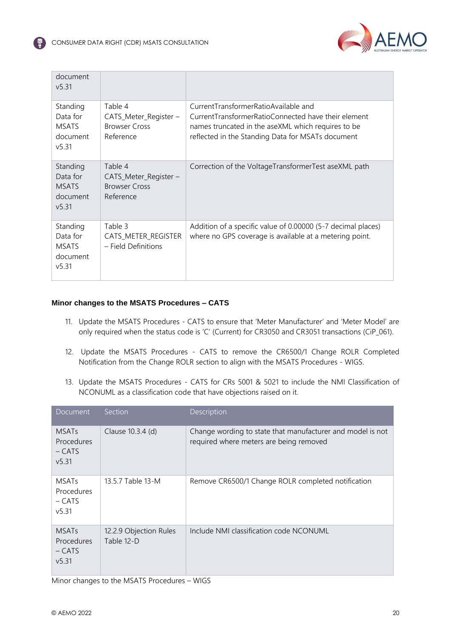

| document<br>v5.31                                         |                                                                       |                                                                                                                                                                                                        |
|-----------------------------------------------------------|-----------------------------------------------------------------------|--------------------------------------------------------------------------------------------------------------------------------------------------------------------------------------------------------|
| Standing<br>Data for<br><b>MSATS</b><br>document<br>v5.31 | Table 4<br>CATS_Meter_Register -<br><b>Browser Cross</b><br>Reference | CurrentTransformerRatioAvailable and<br>CurrentTransformerRatioConnected have their element<br>names truncated in the aseXML which requires to be<br>reflected in the Standing Data for MSATs document |
| Standing<br>Data for<br><b>MSATS</b><br>document<br>v5.31 | Table 4<br>CATS_Meter_Register -<br><b>Browser Cross</b><br>Reference | Correction of the VoltageTransformerTest aseXML path                                                                                                                                                   |
| Standing<br>Data for<br><b>MSATS</b><br>document<br>v5.31 | Table 3<br>CATS_METER_REGISTER<br>- Field Definitions                 | Addition of a specific value of 0.00000 (5-7 decimal places)<br>where no GPS coverage is available at a metering point.                                                                                |

#### **Minor changes to the MSATS Procedures – CATS**

- 11. Update the MSATS Procedures CATS to ensure that 'Meter Manufacturer' and 'Meter Model' are only required when the status code is 'C' (Current) for CR3050 and CR3051 transactions (CiP\_061).
- 12. Update the MSATS Procedures CATS to remove the CR6500/1 Change ROLR Completed Notification from the Change ROLR section to align with the MSATS Procedures - WIGS.
- 13. Update the MSATS Procedures CATS for CRs 5001 & 5021 to include the NMI Classification of NCONUML as a classification code that have objections raised on it.

| Document                                       | <b>Section</b>                       | Description                                                                                           |
|------------------------------------------------|--------------------------------------|-------------------------------------------------------------------------------------------------------|
| <b>MSATs</b><br>Procedures<br>– CATS<br>v5.31  | Clause 10.3.4 (d)                    | Change wording to state that manufacturer and model is not<br>required where meters are being removed |
| <b>MSATs</b><br>Procedures<br>$-CATS$<br>v5.31 | 13.5.7 Table 13-M                    | Remove CR6500/1 Change ROLR completed notification                                                    |
| <b>MSATs</b><br>Procedures<br>$-CATS$<br>v5.31 | 12.2.9 Objection Rules<br>Table 12-D | Include NMI classification code NCONUML                                                               |

Minor changes to the MSATS Procedures – WIGS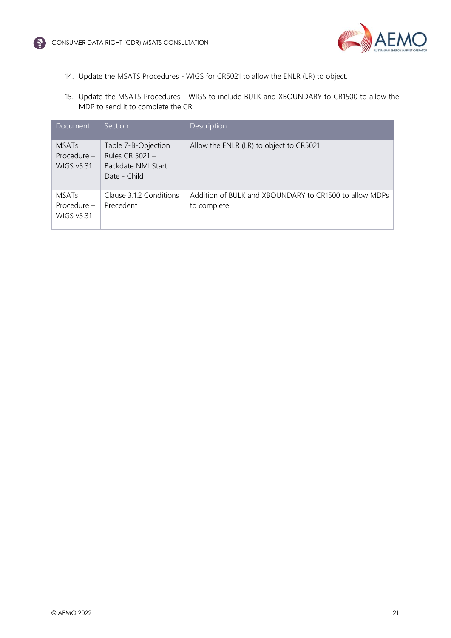

- 14. Update the MSATS Procedures WIGS for CR5021 to allow the ENLR (LR) to object.
- 15. Update the MSATS Procedures WIGS to include BULK and XBOUNDARY to CR1500 to allow the MDP to send it to complete the CR.

| Document                                         | <b>Section</b>                                                                 | Description                                                           |
|--------------------------------------------------|--------------------------------------------------------------------------------|-----------------------------------------------------------------------|
| <b>MSATs</b><br>Procedure -<br><b>WIGS v5.31</b> | Table 7-B-Objection<br>Rules CR $5021 -$<br>Backdate NMI Start<br>Date - Child | Allow the ENLR (LR) to object to CR5021                               |
| <b>MSATs</b><br>Procedure -<br><b>WIGS v5.31</b> | Clause 3.1.2 Conditions<br>Precedent                                           | Addition of BULK and XBOUNDARY to CR1500 to allow MDPs<br>to complete |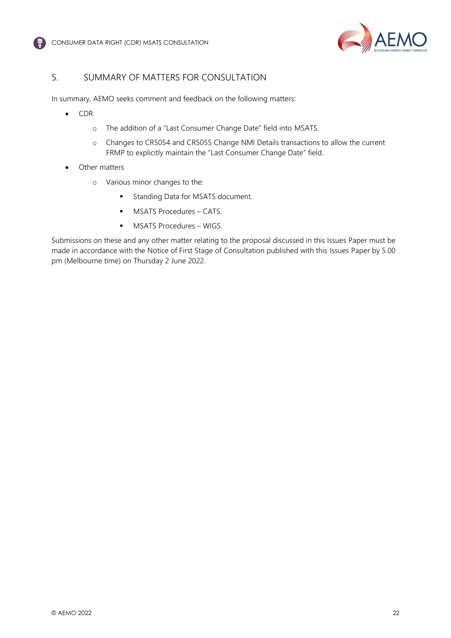



## <span id="page-22-0"></span>5. SUMMARY OF MATTERS FOR CONSULTATION

In summary, AEMO seeks comment and feedback on the following matters:

- CDR
	- o The addition of a "Last Consumer Change Date" field into MSATS.
	- o Changes to CR5054 and CR5055 Change NMI Details transactions to allow the current FRMP to explicitly maintain the "Last Consumer Change Date" field.
- Other matters
	- o Various minor changes to the:
		- **■** Standing Data for MSATS document.
		- MSATS Procedures CATS.
		- **■** MSATS Procedures WIGS.

Submissions on these and any other matter relating to the proposal discussed in this Issues Paper must be made in accordance with the Notice of First Stage of Consultation published with this Issues Paper by 5.00 pm (Melbourne time) on Thursday 2 June 2022.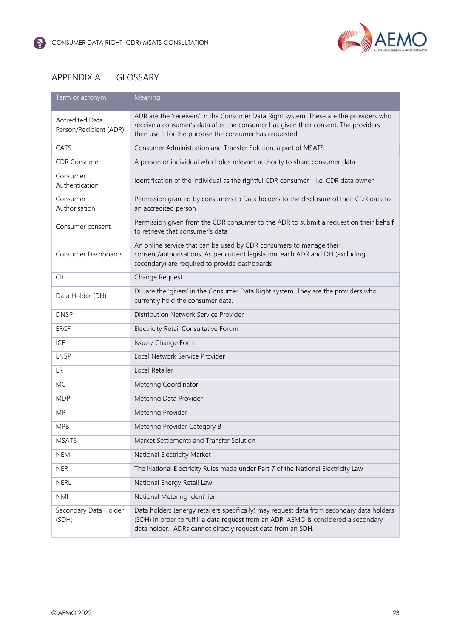

## <span id="page-23-0"></span>APPENDIX A. GLOSSARY

| Term or acronym                                  | Meaning                                                                                                                                                                                                                                          |  |
|--------------------------------------------------|--------------------------------------------------------------------------------------------------------------------------------------------------------------------------------------------------------------------------------------------------|--|
| <b>Accredited Data</b><br>Person/Recipient (ADR) | ADR are the 'receivers' in the Consumer Data Right system. These are the providers who<br>receive a consumer's data after the consumer has given their consent. The providers<br>then use it for the purpose the consumer has requested          |  |
| CATS                                             | Consumer Administration and Transfer Solution, a part of MSATS.                                                                                                                                                                                  |  |
| <b>CDR Consumer</b>                              | A person or individual who holds relevant authority to share consumer data                                                                                                                                                                       |  |
| Consumer<br>Authentication                       | Identification of the individual as the rightful CDR consumer - i.e. CDR data owner                                                                                                                                                              |  |
| Consumer<br>Authorisation                        | Permission granted by consumers to Data holders to the disclosure of their CDR data to<br>an accredited person                                                                                                                                   |  |
| Consumer consent                                 | Permission given from the CDR consumer to the ADR to submit a request on their behalf<br>to retrieve that consumer's data                                                                                                                        |  |
| Consumer Dashboards                              | An online service that can be used by CDR consumers to manage their<br>consent/authorisations. As per current legislation, each ADR and DH (excluding<br>secondary) are required to provide dashboards                                           |  |
| <b>CR</b>                                        | Change Request                                                                                                                                                                                                                                   |  |
| Data Holder (DH)                                 | DH are the 'givers' in the Consumer Data Right system. They are the providers who<br>currently hold the consumer data.                                                                                                                           |  |
| <b>DNSP</b>                                      | Distribution Network Service Provider                                                                                                                                                                                                            |  |
| <b>ERCF</b>                                      | Electricity Retail Consultative Forum                                                                                                                                                                                                            |  |
| ICF                                              | Issue / Change Form                                                                                                                                                                                                                              |  |
| LNSP                                             | Local Network Service Provider                                                                                                                                                                                                                   |  |
| <b>LR</b>                                        | Local Retailer                                                                                                                                                                                                                                   |  |
| MC                                               | Metering Coordinator                                                                                                                                                                                                                             |  |
| <b>MDP</b>                                       | Metering Data Provider                                                                                                                                                                                                                           |  |
| <b>MP</b>                                        | Metering Provider                                                                                                                                                                                                                                |  |
| <b>MPB</b>                                       | Metering Provider Category B                                                                                                                                                                                                                     |  |
| <b>MSATS</b>                                     | Market Settlements and Transfer Solution                                                                                                                                                                                                         |  |
| <b>NEM</b>                                       | National Electricity Market                                                                                                                                                                                                                      |  |
| <b>NER</b>                                       | The National Electricity Rules made under Part 7 of the National Electricity Law                                                                                                                                                                 |  |
| <b>NERL</b>                                      | National Energy Retail Law                                                                                                                                                                                                                       |  |
| <b>NMI</b>                                       | National Metering Identifier                                                                                                                                                                                                                     |  |
| Secondary Data Holder<br>(SDH)                   | Data holders (energy retailers specifically) may request data from secondary data holders<br>(SDH) in order to fulfill a data request from an ADR. AEMO is considered a secondary<br>data holder. ADRs cannot directly request data from an SDH. |  |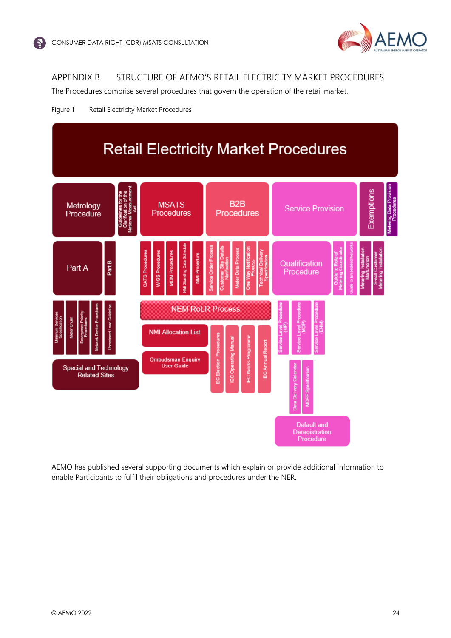

# <span id="page-24-0"></span>APPENDIX B. STRUCTURE OF AEMO'S RETAIL ELECTRICITY MARKET PROCEDURES

The Procedures comprise several procedures that govern the operation of the retail market.





AEMO has published several supporting documents which explain or provide additional information to enable Participants to fulfil their obligations and procedures under the NER.